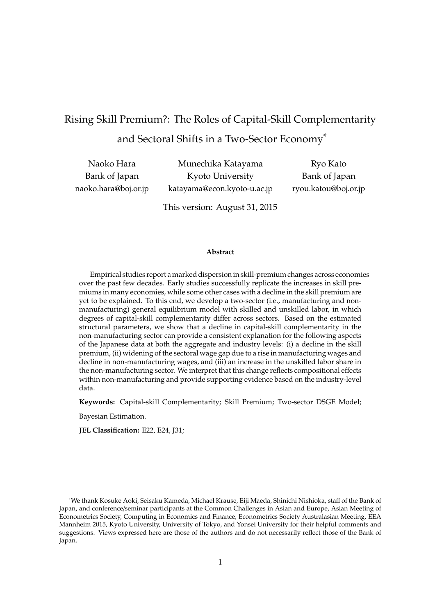# Rising Skill Premium?: The Roles of Capital-Skill Complementarity and Sectoral Shifts in a Two-Sector Economy<sup>∗</sup>

Naoko Hara Bank of Japan [naoko.hara@boj.or.jp](mailto:naoko.hara@boj.or.jp)

Munechika Katayama Kyoto University [katayama@econ.kyoto-u.ac.jp](mailto:katayama@econ.kyoto-u.ac.jp)

Ryo Kato Bank of Japan [ryou.katou@boj.or.jp](mailto:ryou.katou@boj.or.jp)

This version: August 31, 2015

#### **Abstract**

Empirical studies report a marked dispersion in skill-premium changes across economies over the past few decades. Early studies successfully replicate the increases in skill premiums in many economies, while some other cases with a decline in the skill premium are yet to be explained. To this end, we develop a two-sector (i.e., manufacturing and nonmanufacturing) general equilibrium model with skilled and unskilled labor, in which degrees of capital-skill complementarity differ across sectors. Based on the estimated structural parameters, we show that a decline in capital-skill complementarity in the non-manufacturing sector can provide a consistent explanation for the following aspects of the Japanese data at both the aggregate and industry levels: (i) a decline in the skill premium, (ii) widening of the sectoral wage gap due to a rise in manufacturing wages and decline in non-manufacturing wages, and (iii) an increase in the unskilled labor share in the non-manufacturing sector. We interpret that this change reflects compositional effects within non-manufacturing and provide supporting evidence based on the industry-level data.

**Keywords:** Capital-skill Complementarity; Skill Premium; Two-sector DSGE Model;

Bayesian Estimation.

**JEL Classification:** E22, E24, J31;

<sup>∗</sup>We thank Kosuke Aoki, Seisaku Kameda, Michael Krause, Eiji Maeda, Shinichi Nishioka, staff of the Bank of Japan, and conference/seminar participants at the Common Challenges in Asian and Europe, Asian Meeting of Econometrics Society, Computing in Economics and Finance, Econometrics Society Australasian Meeting, EEA Mannheim 2015, Kyoto University, University of Tokyo, and Yonsei University for their helpful comments and suggestions. Views expressed here are those of the authors and do not necessarily reflect those of the Bank of Japan.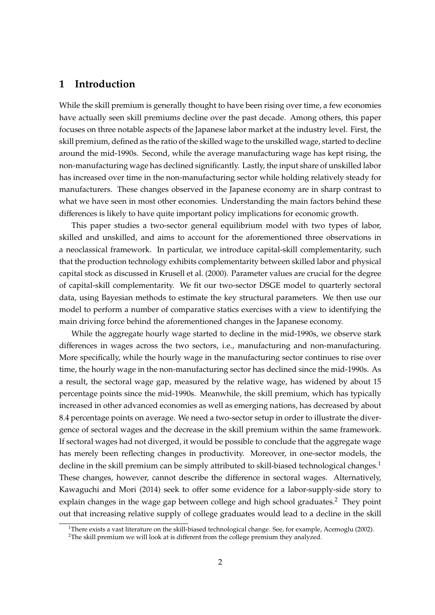# **1 Introduction**

While the skill premium is generally thought to have been rising over time, a few economies have actually seen skill premiums decline over the past decade. Among others, this paper focuses on three notable aspects of the Japanese labor market at the industry level. First, the skill premium, defined as the ratio of the skilled wage to the unskilled wage, started to decline around the mid-1990s. Second, while the average manufacturing wage has kept rising, the non-manufacturing wage has declined significantly. Lastly, the input share of unskilled labor has increased over time in the non-manufacturing sector while holding relatively steady for manufacturers. These changes observed in the Japanese economy are in sharp contrast to what we have seen in most other economies. Understanding the main factors behind these differences is likely to have quite important policy implications for economic growth.

This paper studies a two-sector general equilibrium model with two types of labor, skilled and unskilled, and aims to account for the aforementioned three observations in a neoclassical framework. In particular, we introduce capital-skill complementarity, such that the production technology exhibits complementarity between skilled labor and physical capital stock as discussed in [Krusell et al.](#page-26-0) [\(2000\)](#page-26-0). Parameter values are crucial for the degree of capital-skill complementarity. We fit our two-sector DSGE model to quarterly sectoral data, using Bayesian methods to estimate the key structural parameters. We then use our model to perform a number of comparative statics exercises with a view to identifying the main driving force behind the aforementioned changes in the Japanese economy.

While the aggregate hourly wage started to decline in the mid-1990s, we observe stark differences in wages across the two sectors, i.e., manufacturing and non-manufacturing. More specifically, while the hourly wage in the manufacturing sector continues to rise over time, the hourly wage in the non-manufacturing sector has declined since the mid-1990s. As a result, the sectoral wage gap, measured by the relative wage, has widened by about 15 percentage points since the mid-1990s. Meanwhile, the skill premium, which has typically increased in other advanced economies as well as emerging nations, has decreased by about 8.4 percentage points on average. We need a two-sector setup in order to illustrate the divergence of sectoral wages and the decrease in the skill premium within the same framework. If sectoral wages had not diverged, it would be possible to conclude that the aggregate wage has merely been reflecting changes in productivity. Moreover, in one-sector models, the decline in the skill premium can be simply attributed to skill-biased technological changes.<sup>1</sup> These changes, however, cannot describe the difference in sectoral wages. Alternatively, [Kawaguchi and Mori](#page-26-1) [\(2014\)](#page-26-1) seek to offer some evidence for a labor-supply-side story to explain changes in the wage gap between college and high school graduates.<sup>2</sup> They point out that increasing relative supply of college graduates would lead to a decline in the skill

<sup>&</sup>lt;sup>1</sup>There exists a vast literature on the skill-biased technological change. See, for example, [Acemoglu](#page-26-2) [\(2002\)](#page-26-2).

<sup>&</sup>lt;sup>2</sup>The skill premium we will look at is different from the college premium they analyzed.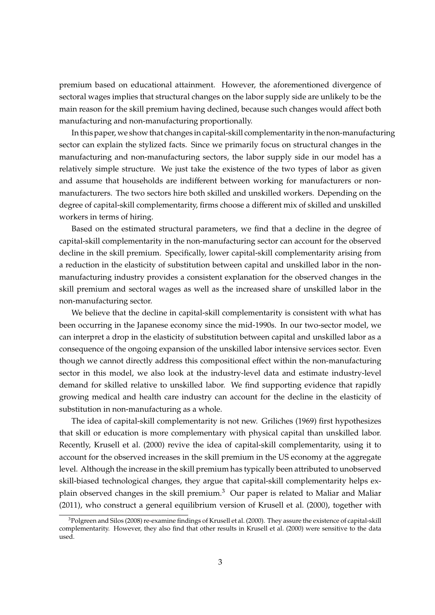premium based on educational attainment. However, the aforementioned divergence of sectoral wages implies that structural changes on the labor supply side are unlikely to be the main reason for the skill premium having declined, because such changes would affect both manufacturing and non-manufacturing proportionally.

In this paper, we show that changes in capital-skill complementarity in the non-manufacturing sector can explain the stylized facts. Since we primarily focus on structural changes in the manufacturing and non-manufacturing sectors, the labor supply side in our model has a relatively simple structure. We just take the existence of the two types of labor as given and assume that households are indifferent between working for manufacturers or nonmanufacturers. The two sectors hire both skilled and unskilled workers. Depending on the degree of capital-skill complementarity, firms choose a different mix of skilled and unskilled workers in terms of hiring.

Based on the estimated structural parameters, we find that a decline in the degree of capital-skill complementarity in the non-manufacturing sector can account for the observed decline in the skill premium. Specifically, lower capital-skill complementarity arising from a reduction in the elasticity of substitution between capital and unskilled labor in the nonmanufacturing industry provides a consistent explanation for the observed changes in the skill premium and sectoral wages as well as the increased share of unskilled labor in the non-manufacturing sector.

We believe that the decline in capital-skill complementarity is consistent with what has been occurring in the Japanese economy since the mid-1990s. In our two-sector model, we can interpret a drop in the elasticity of substitution between capital and unskilled labor as a consequence of the ongoing expansion of the unskilled labor intensive services sector. Even though we cannot directly address this compositional effect within the non-manufacturing sector in this model, we also look at the industry-level data and estimate industry-level demand for skilled relative to unskilled labor. We find supporting evidence that rapidly growing medical and health care industry can account for the decline in the elasticity of substitution in non-manufacturing as a whole.

The idea of capital-skill complementarity is not new. [Griliches](#page-26-3) [\(1969\)](#page-26-3) first hypothesizes that skill or education is more complementary with physical capital than unskilled labor. Recently, [Krusell et al.](#page-26-0) [\(2000\)](#page-26-0) revive the idea of capital-skill complementarity, using it to account for the observed increases in the skill premium in the US economy at the aggregate level. Although the increase in the skill premium has typically been attributed to unobserved skill-biased technological changes, they argue that capital-skill complementarity helps explain observed changes in the skill premium.<sup>3</sup> Our paper is related to [Maliar and Maliar](#page-26-4) [\(2011\)](#page-26-4), who construct a general equilibrium version of [Krusell et al.](#page-26-0) [\(2000\)](#page-26-0), together with

<sup>3</sup>[Polgreen and Silos](#page-26-5) [\(2008\)](#page-26-5) re-examine findings of [Krusell et al.](#page-26-0) [\(2000\)](#page-26-0). They assure the existence of capital-skill complementarity. However, they also find that other results in [Krusell et al.](#page-26-0) [\(2000\)](#page-26-0) were sensitive to the data used.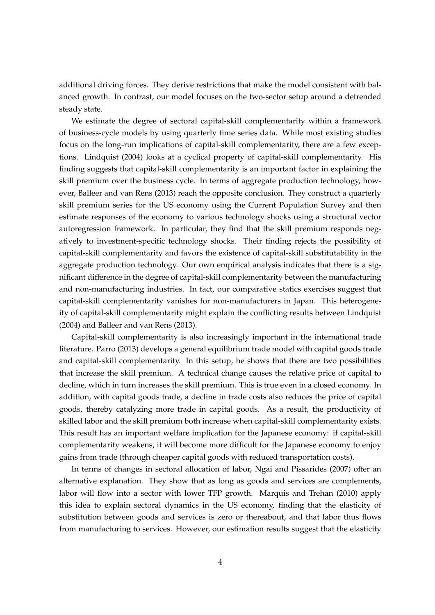additional driving forces. They derive restrictions that make the model consistent with balanced growth. In contrast, our model focuses on the two-sector setup around a detrended steady state.

We estimate the degree of sectoral capital-skill complementarity within a framework of business-cycle models by using quarterly time series data. While most existing studies focus on the long-run implications of capital-skill complementarity, there are a few exceptions. [Lindquist](#page-26-6) [\(2004\)](#page-26-6) looks at a cyclical property of capital-skill complementarity. His finding suggests that capital-skill complementarity is an important factor in explaining the skill premium over the business cycle. In terms of aggregate production technology, however, [Balleer and van Rens](#page-26-7) [\(2013\)](#page-26-7) reach the opposite conclusion. They construct a quarterly skill premium series for the US economy using the Current Population Survey and then estimate responses of the economy to various technology shocks using a structural vector autoregression framework. In particular, they find that the skill premium responds negatively to investment-specific technology shocks. Their finding rejects the possibility of capital-skill complementarity and favors the existence of capital-skill substitutability in the aggregate production technology. Our own empirical analysis indicates that there is a significant difference in the degree of capital-skill complementarity between the manufacturing and non-manufacturing industries. In fact, our comparative statics exercises suggest that capital-skill complementarity vanishes for non-manufacturers in Japan. This heterogeneity of capital-skill complementarity might explain the conflicting results between [Lindquist](#page-26-6) [\(2004\)](#page-26-6) and [Balleer and van Rens](#page-26-7) [\(2013\)](#page-26-7).

Capital-skill complementarity is also increasingly important in the international trade literature. [Parro](#page-26-8) [\(2013\)](#page-26-8) develops a general equilibrium trade model with capital goods trade and capital-skill complementarity. In this setup, he shows that there are two possibilities that increase the skill premium. A technical change causes the relative price of capital to decline, which in turn increases the skill premium. This is true even in a closed economy. In addition, with capital goods trade, a decline in trade costs also reduces the price of capital goods, thereby catalyzing more trade in capital goods. As a result, the productivity of skilled labor and the skill premium both increase when capital-skill complementarity exists. This result has an important welfare implication for the Japanese economy: if capital-skill complementarity weakens, it will become more difficult for the Japanese economy to enjoy gains from trade (through cheaper capital goods with reduced transportation costs).

In terms of changes in sectoral allocation of labor, [Ngai and Pissarides](#page-26-9) [\(2007\)](#page-26-9) offer an alternative explanation. They show that as long as goods and services are complements, labor will flow into a sector with lower TFP growth. [Marquis and Trehan](#page-26-10) [\(2010\)](#page-26-10) apply this idea to explain sectoral dynamics in the US economy, finding that the elasticity of substitution between goods and services is zero or thereabout, and that labor thus flows from manufacturing to services. However, our estimation results suggest that the elasticity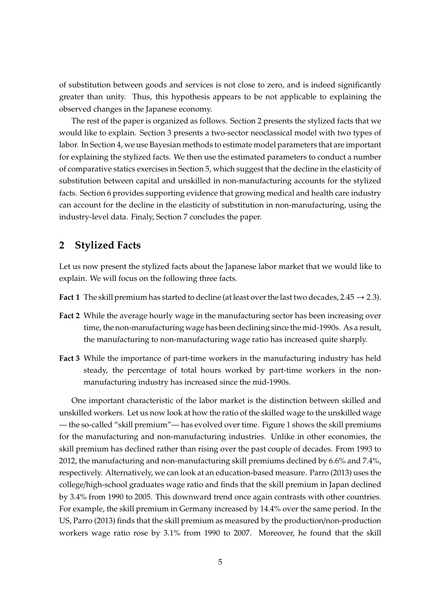of substitution between goods and services is not close to zero, and is indeed significantly greater than unity. Thus, this hypothesis appears to be not applicable to explaining the observed changes in the Japanese economy.

The rest of the paper is organized as follows. Section [2](#page-4-0) presents the stylized facts that we would like to explain. Section [3](#page-8-0) presents a two-sector neoclassical model with two types of labor. In Section [4,](#page-11-0) we use Bayesian methods to estimate model parameters that are important for explaining the stylized facts. We then use the estimated parameters to conduct a number of comparative statics exercises in Section [5,](#page-16-0) which suggest that the decline in the elasticity of substitution between capital and unskilled in non-manufacturing accounts for the stylized facts. Section [6](#page-22-0) provides supporting evidence that growing medical and health care industry can account for the decline in the elasticity of substitution in non-manufacturing, using the industry-level data. Finaly, Section [7](#page-25-0) concludes the paper.

# <span id="page-4-0"></span>**2 Stylized Facts**

Let us now present the stylized facts about the Japanese labor market that we would like to explain. We will focus on the following three facts.

- **Fact 1** The skill premium has started to decline (at least over the last two decades,  $2.45 \rightarrow 2.3$ ).
- **Fact 2** While the average hourly wage in the manufacturing sector has been increasing over time, the non-manufacturing wage has been declining since the mid-1990s. As a result, the manufacturing to non-manufacturing wage ratio has increased quite sharply.
- **Fact 3** While the importance of part-time workers in the manufacturing industry has held steady, the percentage of total hours worked by part-time workers in the nonmanufacturing industry has increased since the mid-1990s.

One important characteristic of the labor market is the distinction between skilled and unskilled workers. Let us now look at how the ratio of the skilled wage to the unskilled wage — the so-called "skill premium"— has evolved over time. Figure [1](#page-5-0) shows the skill premiums for the manufacturing and non-manufacturing industries. Unlike in other economies, the skill premium has declined rather than rising over the past couple of decades. From 1993 to 2012, the manufacturing and non-manufacturing skill premiums declined by 6.6% and 7.4%, respectively. Alternatively, we can look at an education-based measure. [Parro](#page-26-8) [\(2013\)](#page-26-8) uses the college/high-school graduates wage ratio and finds that the skill premium in Japan declined by 3.4% from 1990 to 2005. This downward trend once again contrasts with other countries. For example, the skill premium in Germany increased by 14.4% over the same period. In the US, [Parro](#page-26-8) [\(2013\)](#page-26-8) finds that the skill premium as measured by the production/non-production workers wage ratio rose by 3.1% from 1990 to 2007. Moreover, he found that the skill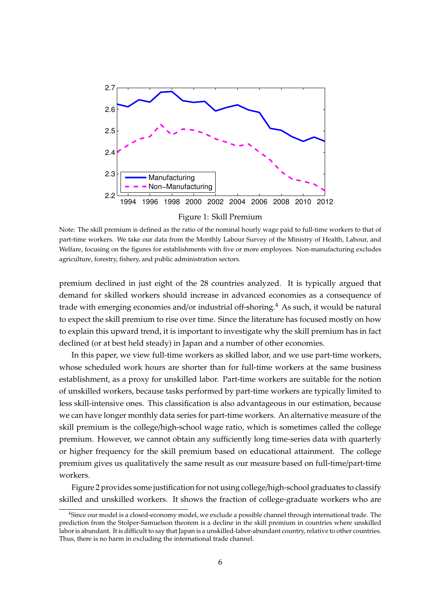<span id="page-5-0"></span>

Figure 1: Skill Premium

Note: The skill premium is defined as the ratio of the nominal hourly wage paid to full-time workers to that of part-time workers. We take our data from the Monthly Labour Survey of the Ministry of Health, Labour, and Welfare, focusing on the figures for establishments with five or more employees. Non-manufacturing excludes agriculture, forestry, fishery, and public administration sectors.

premium declined in just eight of the 28 countries analyzed. It is typically argued that demand for skilled workers should increase in advanced economies as a consequence of trade with emerging economies and/or industrial off-shoring.<sup>4</sup> As such, it would be natural to expect the skill premium to rise over time. Since the literature has focused mostly on how to explain this upward trend, it is important to investigate why the skill premium has in fact declined (or at best held steady) in Japan and a number of other economies.

In this paper, we view full-time workers as skilled labor, and we use part-time workers, whose scheduled work hours are shorter than for full-time workers at the same business establishment, as a proxy for unskilled labor. Part-time workers are suitable for the notion of unskilled workers, because tasks performed by part-time workers are typically limited to less skill-intensive ones. This classification is also advantageous in our estimation, because we can have longer monthly data series for part-time workers. An alternative measure of the skill premium is the college/high-school wage ratio, which is sometimes called the college premium. However, we cannot obtain any sufficiently long time-series data with quarterly or higher frequency for the skill premium based on educational attainment. The college premium gives us qualitatively the same result as our measure based on full-time/part-time workers.

Figure [2](#page-6-0) provides some justification for not using college/high-school graduates to classify skilled and unskilled workers. It shows the fraction of college-graduate workers who are

<sup>4</sup>Since our model is a closed-economy model, we exclude a possible channel through international trade. The prediction from the Stolper-Samuelson theorem is a decline in the skill premium in countries where unskilled labor is abundant. It is difficult to say that Japan is a unskilled-labor-abundant country, relative to other countries. Thus, there is no harm in excluding the international trade channel.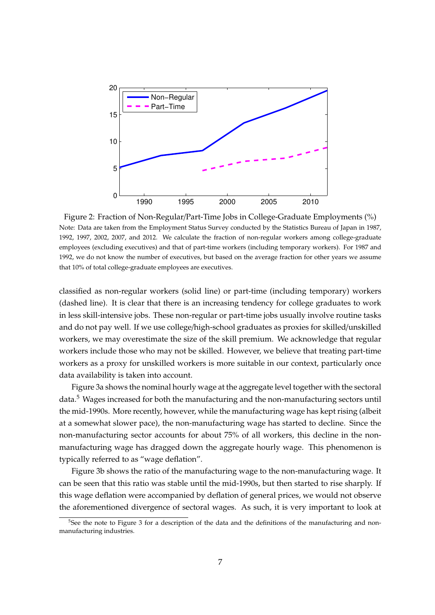<span id="page-6-0"></span>

Figure 2: Fraction of Non-Regular/Part-Time Jobs in College-Graduate Employments (%) Note: Data are taken from the Employment Status Survey conducted by the Statistics Bureau of Japan in 1987, 1992, 1997, 2002, 2007, and 2012. We calculate the fraction of non-regular workers among college-graduate employees (excluding executives) and that of part-time workers (including temporary workers). For 1987 and 1992, we do not know the number of executives, but based on the average fraction for other years we assume that 10% of total college-graduate employees are executives.

classified as non-regular workers (solid line) or part-time (including temporary) workers (dashed line). It is clear that there is an increasing tendency for college graduates to work in less skill-intensive jobs. These non-regular or part-time jobs usually involve routine tasks and do not pay well. If we use college/high-school graduates as proxies for skilled/unskilled workers, we may overestimate the size of the skill premium. We acknowledge that regular workers include those who may not be skilled. However, we believe that treating part-time workers as a proxy for unskilled workers is more suitable in our context, particularly once data availability is taken into account.

Figure [3a](#page-7-0) shows the nominal hourly wage at the aggregate level together with the sectoral data.<sup>5</sup> Wages increased for both the manufacturing and the non-manufacturing sectors until the mid-1990s. More recently, however, while the manufacturing wage has kept rising (albeit at a somewhat slower pace), the non-manufacturing wage has started to decline. Since the non-manufacturing sector accounts for about 75% of all workers, this decline in the nonmanufacturing wage has dragged down the aggregate hourly wage. This phenomenon is typically referred to as "wage deflation".

Figure [3b](#page-7-0) shows the ratio of the manufacturing wage to the non-manufacturing wage. It can be seen that this ratio was stable until the mid-1990s, but then started to rise sharply. If this wage deflation were accompanied by deflation of general prices, we would not observe the aforementioned divergence of sectoral wages. As such, it is very important to look at

<sup>&</sup>lt;sup>5</sup>See the note to Figure [3](#page-7-0) for a description of the data and the definitions of the manufacturing and nonmanufacturing industries.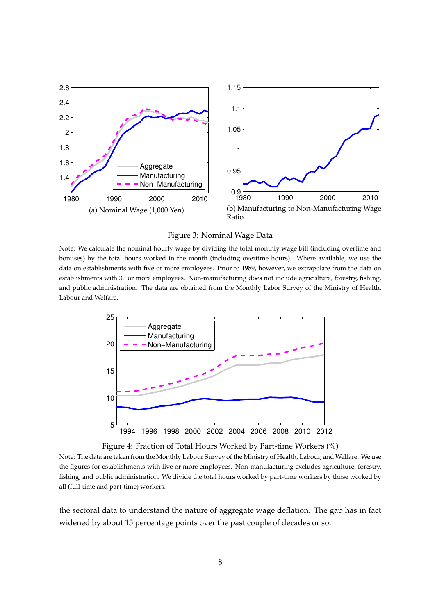<span id="page-7-0"></span>



Note: We calculate the nominal hourly wage by dividing the total monthly wage bill (including overtime and bonuses) by the total hours worked in the month (including overtime hours). Where available, we use the data on establishments with five or more employees. Prior to 1989, however, we extrapolate from the data on establishments with 30 or more employees. Non-manufacturing does not include agriculture, forestry, fishing, and public administration. The data are obtained from the Monthly Labor Survey of the Ministry of Health, Labour and Welfare.

<span id="page-7-1"></span>

Figure 4: Fraction of Total Hours Worked by Part-time Workers (%)

Note: The data are taken from the Monthly Labour Survey of the Ministry of Health, Labour, and Welfare. We use the figures for establishments with five or more employees. Non-manufacturing excludes agriculture, forestry, fishing, and public administration. We divide the total hours worked by part-time workers by those worked by all (full-time and part-time) workers.

the sectoral data to understand the nature of aggregate wage deflation. The gap has in fact widened by about 15 percentage points over the past couple of decades or so.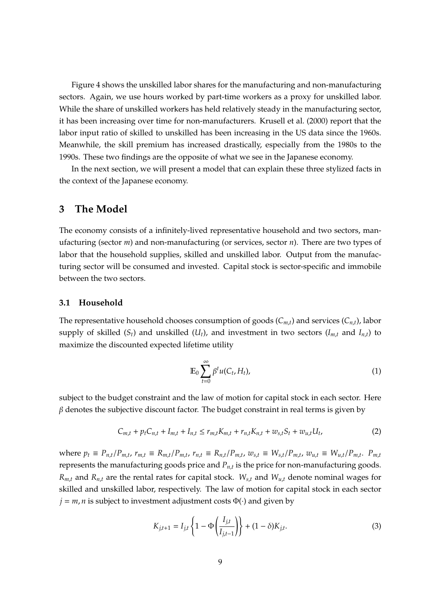Figure [4](#page-7-1) shows the unskilled labor shares for the manufacturing and non-manufacturing sectors. Again, we use hours worked by part-time workers as a proxy for unskilled labor. While the share of unskilled workers has held relatively steady in the manufacturing sector, it has been increasing over time for non-manufacturers. [Krusell et al.](#page-26-0) [\(2000\)](#page-26-0) report that the labor input ratio of skilled to unskilled has been increasing in the US data since the 1960s. Meanwhile, the skill premium has increased drastically, especially from the 1980s to the 1990s. These two findings are the opposite of what we see in the Japanese economy.

In the next section, we will present a model that can explain these three stylized facts in the context of the Japanese economy.

# <span id="page-8-0"></span>**3 The Model**

The economy consists of a infinitely-lived representative household and two sectors, manufacturing (sector *m*) and non-manufacturing (or services, sector *n*). There are two types of labor that the household supplies, skilled and unskilled labor. Output from the manufacturing sector will be consumed and invested. Capital stock is sector-specific and immobile between the two sectors.

#### **3.1 Household**

The representative household chooses consumption of goods (*Cm*,*t*) and services (*Cn*,*t*), labor supply of skilled  $(S_t)$  and unskilled  $(U_t)$ , and investment in two sectors  $(I_{m,t}$  and  $I_{n,t}$ ) to maximize the discounted expected lifetime utility

$$
\mathbb{E}_0 \sum_{t=0}^{\infty} \beta^t u(C_t, H_t), \tag{1}
$$

subject to the budget constraint and the law of motion for capital stock in each sector. Here  $\beta$  denotes the subjective discount factor. The budget constraint in real terms is given by

$$
C_{m,t} + p_t C_{n,t} + I_{m,t} + I_{n,t} \le r_{m,t} K_{m,t} + r_{n,t} K_{n,t} + w_{s,t} S_t + w_{u,t} U_t,
$$
\n(2)

where  $p_t \equiv P_{n,t}/P_{m,t}$ ,  $r_{m,t} \equiv R_{m,t}/P_{m,t}$ ,  $r_{n,t} \equiv R_{n,t}/P_{m,t}$ ,  $w_{s,t} \equiv W_{s,t}/P_{m,t}$ ,  $w_{u,t} \equiv W_{u,t}/P_{m,t}$ .  $P_{m,t}$ represents the manufacturing goods price and *Pn*,*<sup>t</sup>* is the price for non-manufacturing goods.  $R_{m,t}$  and  $R_{n,t}$  are the rental rates for capital stock.  $W_{s,t}$  and  $W_{u,t}$  denote nominal wages for skilled and unskilled labor, respectively. The law of motion for capital stock in each sector  $j = m, n$  is subject to investment adjustment costs  $\Phi(\cdot)$  and given by

$$
K_{j,t+1} = I_{j,t} \left\{ 1 - \Phi\left(\frac{I_{j,t}}{I_{j,t-1}}\right) \right\} + (1 - \delta) K_{j,t}.
$$
 (3)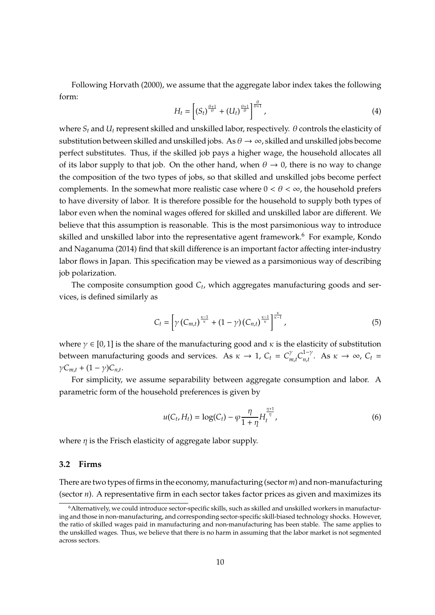Following [Horvath](#page-26-11) [\(2000\)](#page-26-11), we assume that the aggregate labor index takes the following form:

$$
H_t = \left[ \left( S_t \right)^{\frac{\theta+1}{\theta}} + \left( U_t \right)^{\frac{\theta+1}{\theta}} \right]^{\frac{\theta}{\theta+1}}, \tag{4}
$$

where  $S_t$  and  $U_t$  represent skilled and unskilled labor, respectively.  $\theta$  controls the elasticity of substitution between skilled and unskilled jobs. As  $\theta \to \infty$ , skilled and unskilled jobs become perfect substitutes. Thus, if the skilled job pays a higher wage, the household allocates all of its labor supply to that job. On the other hand, when  $\theta \to 0$ , there is no way to change the composition of the two types of jobs, so that skilled and unskilled jobs become perfect complements. In the somewhat more realistic case where  $0 < \theta < \infty$ , the household prefers to have diversity of labor. It is therefore possible for the household to supply both types of labor even when the nominal wages offered for skilled and unskilled labor are different. We believe that this assumption is reasonable. This is the most parsimonious way to introduce skilled and unskilled labor into the representative agent framework.<sup>6</sup> For example, [Kondo](#page-26-12) [and Naganuma](#page-26-12) [\(2014\)](#page-26-12) find that skill difference is an important factor affecting inter-industry labor flows in Japan. This specification may be viewed as a parsimonious way of describing job polarization.

The composite consumption good *C<sup>t</sup>* , which aggregates manufacturing goods and services, is defined similarly as

$$
C_t = \left[ \gamma \left( C_{m,t} \right)^{\frac{\kappa - 1}{\kappa}} + (1 - \gamma) \left( C_{n,t} \right)^{\frac{\kappa - 1}{\kappa}} \right]^{\frac{\kappa}{\kappa - 1}},\tag{5}
$$

where  $\gamma \in [0, 1]$  is the share of the manufacturing good and  $\kappa$  is the elasticity of substitution between manufacturing goods and services. As  $\kappa \to 1$ ,  $C_t = C_n^{\gamma}$  $C_{n,t}^{1-\gamma}$  $n_t^{1-\gamma}$ . As  $\kappa \to \infty$ ,  $C_t =$  $\gamma C_{m,t} + (1 - \gamma)C_{n,t}$ .

For simplicity, we assume separability between aggregate consumption and labor. A parametric form of the household preferences is given by

$$
u(C_t, H_t) = \log(C_t) - \varphi \frac{\eta}{1 + \eta} H_t^{\frac{\eta + 1}{\eta}}, \tag{6}
$$

where  $\eta$  is the Frisch elasticity of aggregate labor supply.

#### **3.2 Firms**

There are two types of firms in the economy, manufacturing (sector*m*) and non-manufacturing (sector *n*). A representative firm in each sector takes factor prices as given and maximizes its

<sup>6</sup>Alternatively, we could introduce sector-specific skills, such as skilled and unskilled workers in manufacturing and those in non-manufacturing, and corresponding sector-specific skill-biased technology shocks. However, the ratio of skilled wages paid in manufacturing and non-manufacturing has been stable. The same applies to the unskilled wages. Thus, we believe that there is no harm in assuming that the labor market is not segmented across sectors.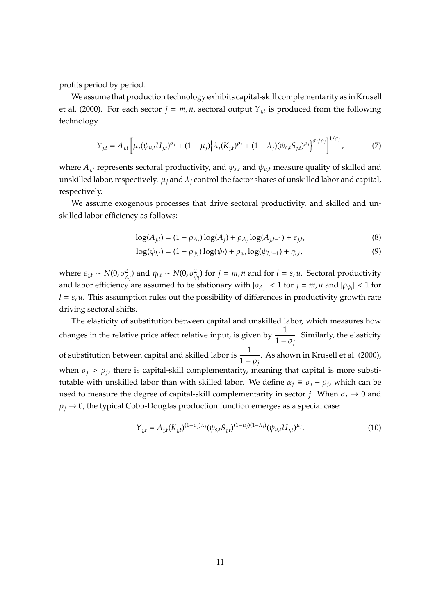profits period by period.

We assume that production technology exhibits capital-skill complementarity as in [Krusell](#page-26-0) [et al.](#page-26-0) [\(2000\)](#page-26-0). For each sector *j* = *m*, *n*, sectoral output *Yj*,*<sup>t</sup>* is produced from the following technology

$$
Y_{j,t} = A_{j,t} \left[ \mu_j (\psi_{u,t} U_{j,t})^{\sigma_j} + (1 - \mu_j) \left\{ \lambda_j (K_{j,t})^{\rho_j} + (1 - \lambda_j) (\psi_{s,t} S_{j,t})^{\rho_j} \right\}^{\sigma_j/\rho_j} \right]^{1/\sigma_j},
$$
(7)

where  $A_{j,t}$  represents sectoral productivity, and  $\psi_{s,t}$  and  $\psi_{u,t}$  measure quality of skilled and unskilled labor, respectively.  $\mu_j$  and  $\lambda_j$  control the factor shares of unskilled labor and capital, respectively.

We assume exogenous processes that drive sectoral productivity, and skilled and unskilled labor efficiency as follows:

$$
\log(A_{j,t}) = (1 - \rho_{A_j}) \log(A_j) + \rho_{A_j} \log(A_{j,t-1}) + \varepsilon_{j,t},
$$
\n(8)

$$
\log(\psi_{l,t}) = (1 - \rho_{\psi_l}) \log(\psi_l) + \rho_{\psi_l} \log(\psi_{l,t-1}) + \eta_{l,t},
$$
\n(9)

where  $\varepsilon_{j,t} \sim N(0, \sigma_{A_j}^2)$  and  $\eta_{l,t} \sim N(0, \sigma_{\psi_l}^2)$  for  $j = m, n$  and for  $l = s, u$ . Sectoral productivity and labor efficiency are assumed to be stationary with  $|\rho_{A_j}| < 1$  for  $j = m, n$  and  $|\rho_{\psi_l}| < 1$  for  $l = s, u$ . This assumption rules out the possibility of differences in productivity growth rate driving sectoral shifts.

The elasticity of substitution between capital and unskilled labor, which measures how changes in the relative price affect relative input, is given by  $\frac{1}{1}$  $\frac{1}{1 - \sigma_j}$ . Similarly, the elasticity of substitution between capital and skilled labor is  $\frac{1}{1}$  $\frac{1}{1 - \rho_j}$ . As shown in [Krusell et al.](#page-26-0) [\(2000\)](#page-26-0), when  $\sigma_j > \rho_j$ , there is capital-skill complementarity, meaning that capital is more substitutable with unskilled labor than with skilled labor. We define  $\alpha_j \equiv \sigma_j - \rho_j$ , which can be used to measure the degree of capital-skill complementarity in sector *j*. When  $\sigma_j \rightarrow 0$  and  $\rho_i \rightarrow 0$ , the typical Cobb-Douglas production function emerges as a special case:

$$
Y_{j,t} = A_{j,t}(K_{j,t})^{(1-\mu_j)\lambda_j}(\psi_{s,t}S_{j,t})^{(1-\mu_j)(1-\lambda_j)}(\psi_{u,t}U_{j,t})^{\mu_j}.
$$
\n(10)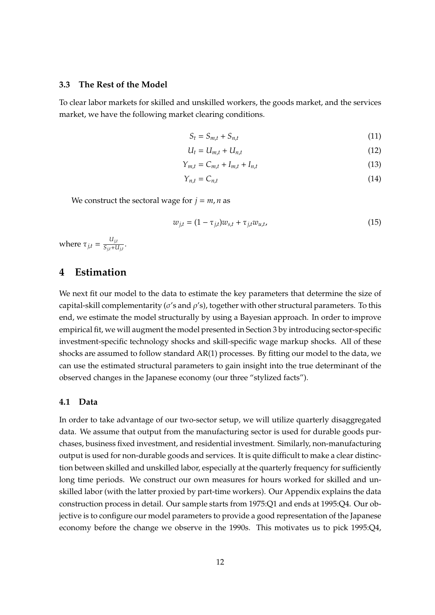### **3.3 The Rest of the Model**

To clear labor markets for skilled and unskilled workers, the goods market, and the services market, we have the following market clearing conditions.

$$
S_t = S_{m,t} + S_{n,t} \tag{11}
$$

$$
U_t = U_{m,t} + U_{n,t} \tag{12}
$$

$$
Y_{m,t} = C_{m,t} + I_{m,t} + I_{n,t}
$$
\n
$$
(13)
$$

$$
Y_{n,t} = C_{n,t} \tag{14}
$$

We construct the sectoral wage for  $j = m, n$  as

<span id="page-11-1"></span>
$$
w_{j,t} = (1 - \tau_{j,t})w_{s,t} + \tau_{j,t}w_{u,t},
$$
\n(15)

where  $\tau_{j,t} = \frac{U_{j,t}}{S_{i,t} + U}$  $\frac{G_{j,t}}{S_{j,t}+U_{j,t}}$ .

# <span id="page-11-0"></span>**4 Estimation**

We next fit our model to the data to estimate the key parameters that determine the size of capital-skill complementarity ( $\sigma$ 's and  $\rho$ 's), together with other structural parameters. To this end, we estimate the model structurally by using a Bayesian approach. In order to improve empirical fit, we will augment the model presented in Section [3](#page-8-0) by introducing sector-specific investment-specific technology shocks and skill-specific wage markup shocks. All of these shocks are assumed to follow standard AR(1) processes. By fitting our model to the data, we can use the estimated structural parameters to gain insight into the true determinant of the observed changes in the Japanese economy (our three "stylized facts").

#### **4.1 Data**

In order to take advantage of our two-sector setup, we will utilize quarterly disaggregated data. We assume that output from the manufacturing sector is used for durable goods purchases, business fixed investment, and residential investment. Similarly, non-manufacturing output is used for non-durable goods and services. It is quite difficult to make a clear distinction between skilled and unskilled labor, especially at the quarterly frequency for sufficiently long time periods. We construct our own measures for hours worked for skilled and unskilled labor (with the latter proxied by part-time workers). Our Appendix explains the data construction process in detail. Our sample starts from 1975:Q1 and ends at 1995:Q4. Our objective is to configure our model parameters to provide a good representation of the Japanese economy before the change we observe in the 1990s. This motivates us to pick 1995:Q4,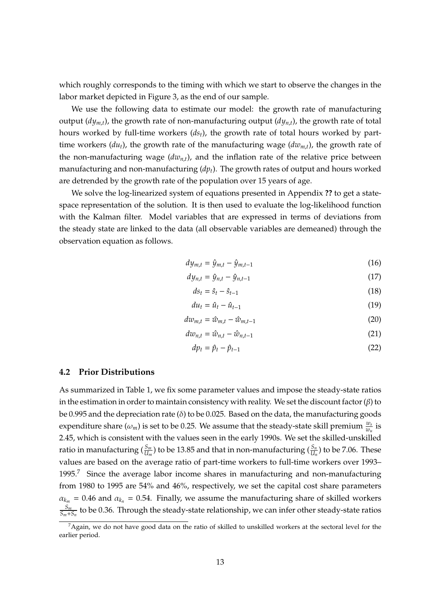which roughly corresponds to the timing with which we start to observe the changes in the labor market depicted in Figure [3,](#page-7-0) as the end of our sample.

We use the following data to estimate our model: the growth rate of manufacturing output (*dym*,*t*), the growth rate of non-manufacturing output (*dyn*,*t*), the growth rate of total hours worked by full-time workers (*dst*), the growth rate of total hours worked by parttime workers (*dut*), the growth rate of the manufacturing wage (*dwm*,*t*), the growth rate of the non-manufacturing wage  $(dw<sub>n,t</sub>)$ , and the inflation rate of the relative price between manufacturing and non-manufacturing (*dpt*). The growth rates of output and hours worked are detrended by the growth rate of the population over 15 years of age.

We solve the log-linearized system of equations presented in Appendix **??** to get a statespace representation of the solution. It is then used to evaluate the log-likelihood function with the Kalman filter. Model variables that are expressed in terms of deviations from the steady state are linked to the data (all observable variables are demeaned) through the observation equation as follows.

$$
dy_{m,t} = \hat{y}_{m,t} - \hat{y}_{m,t-1} \tag{16}
$$

$$
dy_{n,t} = \hat{y}_{n,t} - \hat{y}_{n,t-1}
$$
 (17)

$$
ds_t = \hat{s}_t - \hat{s}_{t-1} \tag{18}
$$

$$
du_t = \hat{u}_t - \hat{u}_{t-1} \tag{19}
$$

$$
dw_{m,t} = \hat{w}_{m,t} - \hat{w}_{m,t-1}
$$
\n(20)

$$
dw_{n,t} = \hat{w}_{n,t} - \hat{w}_{n,t-1}
$$
\n(21)

$$
dp_t = \hat{p}_t - \hat{p}_{t-1} \tag{22}
$$

#### **4.2 Prior Distributions**

As summarized in Table [1,](#page-13-0) we fix some parameter values and impose the steady-state ratios in the estimation in order to maintain consistency with reality. We set the discount factor  $(\beta)$  to be 0.995 and the depreciation rate ( $\delta$ ) to be 0.025. Based on the data, the manufacturing goods expenditure share  $(\omega_m)$  is set to be 0.25. We assume that the steady-state skill premium  $\frac{w_s}{w_u}$  is 2.45, which is consistent with the values seen in the early 1990s. We set the skilled-unskilled ratio in manufacturing  $(\frac{S_m}{U_m})$  to be 13.85 and that in non-manufacturing  $(\frac{S_n}{U_n})$  to be 7.06. These values are based on the average ratio of part-time workers to full-time workers over 1993– 1995.<sup>7</sup> Since the average labor income shares in manufacturing and non-manufacturing from 1980 to 1995 are 54% and 46%, respectively, we set the capital cost share parameters  $\alpha_{k_m}$  = 0.46 and  $\alpha_{k_n}$  = 0.54. Finally, we assume the manufacturing share of skilled workers *S<sup>m</sup>*  $\frac{S_m}{S_m+S_n}$  to be 0.36. Through the steady-state relationship, we can infer other steady-state ratios

 ${}^{7}$ Again, we do not have good data on the ratio of skilled to unskilled workers at the sectoral level for the earlier period.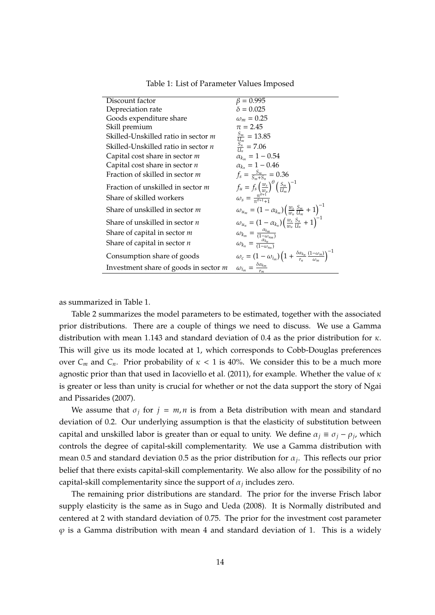<span id="page-13-0"></span>

| Discount factor                            | $\beta = 0.995$                                                                                                                                                              |
|--------------------------------------------|------------------------------------------------------------------------------------------------------------------------------------------------------------------------------|
| Depreciation rate                          | $\delta = 0.025$                                                                                                                                                             |
| Goods expenditure share                    | $\omega_m = 0.25$                                                                                                                                                            |
| Skill premium                              | $\pi = 2.45$                                                                                                                                                                 |
| Skilled-Unskilled ratio in sector m        | $\frac{S_m}{U_m} = 13.85$                                                                                                                                                    |
| Skilled-Unskilled ratio in sector <i>n</i> | $\frac{S_n^m}{U_n} = 7.06$                                                                                                                                                   |
| Capital cost share in sector $m$           | $\alpha_{k_m} = 1 - 0.54$                                                                                                                                                    |
| Capital cost share in sector $n$           | $\alpha_{k_n} = 1 - 0.46$                                                                                                                                                    |
| Fraction of skilled in sector m            | $f_s = \frac{S_m}{S_m + S_m} = 0.36$                                                                                                                                         |
| Fraction of unskilled in sector m          | $\begin{array}{l} f_u = f_s \left(\frac{\dddot{w}_s}{w_u}\right)^\theta \left(\frac{S_m}{U_m}\right)^{-1} \\ \omega_s = \frac{\pi^{\theta+1}}{\pi^{\theta+1}+1} \end{array}$ |
| Share of skilled workers                   |                                                                                                                                                                              |
| Share of unskilled in sector <i>m</i>      | $\omega_{u_m} = (1 - \alpha_{k_m}) \left( \frac{w_s}{w_u} \frac{S_m}{U_m} + 1 \right)^{-1}$                                                                                  |
| Share of unskilled in sector <i>n</i>      | $\omega_{u_n} = (1 - \alpha_{k_n}) \left( \frac{w_s}{m_n} \frac{S_n}{l L} + 1 \right)^{-1}$                                                                                  |
| Share of capital in sector <i>m</i>        | $\omega_{k_m} = \frac{a_{k_m}}{(1-\omega_{k_m})}$                                                                                                                            |
| Share of capital in sector $n$             | $\omega_{k_n} = \frac{\alpha_{k_n}}{(1-\omega_{n})}$                                                                                                                         |
| Consumption share of goods                 | $\omega_c = (1 - \omega_{i_m}) \left( 1 + \frac{\delta \alpha_{k_n}}{r_n} \frac{(1 - \omega_m)}{\omega_m} \right)^{-1}$                                                      |
| Investment share of goods in sector $m$    | $\omega_{i_m} = \frac{\delta \alpha_{k_m}}{r_m}$                                                                                                                             |

Table 1: List of Parameter Values Imposed

as summarized in Table [1.](#page-13-0)

Table [2](#page-14-0) summarizes the model parameters to be estimated, together with the associated prior distributions. There are a couple of things we need to discuss. We use a Gamma distribution with mean 1.143 and standard deviation of 0.4 as the prior distribution for κ. This will give us its mode located at 1, which corresponds to Cobb-Douglas preferences over  $C_m$  and  $C_n$ . Prior probability of  $\kappa < 1$  is 40%. We consider this to be a much more agnostic prior than that used in [Iacoviello et al.](#page-26-13) [\(2011\)](#page-26-13), for example. Whether the value of  $\kappa$ is greater or less than unity is crucial for whether or not the data support the story of [Ngai](#page-26-9) [and Pissarides](#page-26-9) [\(2007\)](#page-26-9).

We assume that  $\sigma_j$  for  $j = m, n$  is from a Beta distribution with mean and standard deviation of 0.2. Our underlying assumption is that the elasticity of substitution between capital and unskilled labor is greater than or equal to unity. We define  $\alpha_j \equiv \sigma_j - \rho_j$ , which controls the degree of capital-skill complementarity. We use a Gamma distribution with mean 0.5 and standard deviation 0.5 as the prior distribution for α*<sup>j</sup>* . This reflects our prior belief that there exists capital-skill complementarity. We also allow for the possibility of no capital-skill complementarity since the support of  $\alpha_j$  includes zero.

The remaining prior distributions are standard. The prior for the inverse Frisch labor supply elasticity is the same as in [Sugo and Ueda](#page-27-0) [\(2008\)](#page-27-0). It is Normally distributed and centered at 2 with standard deviation of 0.75. The prior for the investment cost parameter  $\varphi$  is a Gamma distribution with mean 4 and standard deviation of 1. This is a widely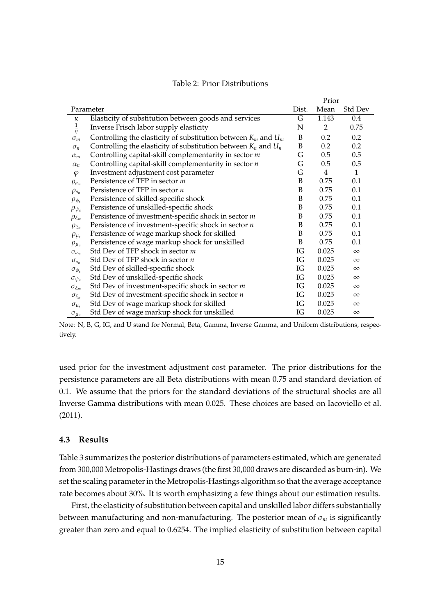<span id="page-14-0"></span>

|                   | Prior                                                              |       |       |          |
|-------------------|--------------------------------------------------------------------|-------|-------|----------|
|                   | Parameter                                                          | Dist. | Mean  | Std Dev  |
| κ                 | Elasticity of substitution between goods and services              | G     | 1.143 | 0.4      |
| $\frac{1}{\eta}$  | Inverse Frisch labor supply elasticity                             | N     | 2     | 0.75     |
| $\sigma_m$        | Controlling the elasticity of substitution between $K_m$ and $U_m$ | B     | 0.2   | 0.2      |
| $\sigma_n$        | Controlling the elasticity of substitution between $K_n$ and $U_n$ | B     | 0.2   | 0.2      |
| $\alpha_m$        | Controlling capital-skill complementarity in sector $m$            | G     | 0.5   | 0.5      |
| $\alpha_n$        | Controlling capital-skill complementarity in sector $n$            | G     | 0.5   | 0.5      |
| $\varphi$         | Investment adjustment cost parameter                               | G     | 4     | 1        |
| $\rho_{a_m}$      | Persistence of TFP in sector m                                     | B     | 0.75  | 0.1      |
| $\rho_{a_n}$      | Persistence of TFP in sector <i>n</i>                              | B     | 0.75  | 0.1      |
| $\rho_{\psi_s}$   | Persistence of skilled-specific shock                              | B     | 0.75  | 0.1      |
| $\rho_{\psi_u}$   | Persistence of unskilled-specific shock                            | B     | 0.75  | 0.1      |
| $\rho_{\xi_m}$    | Persistence of investment-specific shock in sector m               | B     | 0.75  | 0.1      |
| $\rho_{\xi_n}$    | Persistence of investment-specific shock in sector $n$             | B     | 0.75  | 0.1      |
| $\rho_{\mu_s}$    | Persistence of wage markup shock for skilled                       | B     | 0.75  | 0.1      |
| $\rho_{\mu_u}$    | Persistence of wage markup shock for unskilled                     | B     | 0.75  | 0.1      |
| $\sigma_{a_m}$    | Std Dev of TFP shock in sector m                                   | IG    | 0.025 | $\infty$ |
| $\sigma_{a_n}$    | Std Dev of TFP shock in sector <i>n</i>                            | IG    | 0.025 | $\infty$ |
| $\sigma_{\psi_s}$ | Std Dev of skilled-specific shock                                  | IG    | 0.025 | $\infty$ |
| $\sigma_{\psi_u}$ | Std Dev of unskilled-specific shock                                | IG    | 0.025 | $\infty$ |
| $\sigma_{\xi_m}$  | Std Dev of investment-specific shock in sector $m$                 | IG    | 0.025 | $\infty$ |
| $\sigma_{\xi_n}$  | Std Dev of investment-specific shock in sector $n$                 | IG    | 0.025 | $\infty$ |
| $\sigma_{\mu_s}$  | Std Dev of wage markup shock for skilled                           | IG    | 0.025 | $\infty$ |
| $\sigma_{\mu_u}$  | Std Dev of wage markup shock for unskilled                         | IG    | 0.025 | $\infty$ |

Table 2: Prior Distributions

Note: N, B, G, IG, and U stand for Normal, Beta, Gamma, Inverse Gamma, and Uniform distributions, respectively.

used prior for the investment adjustment cost parameter. The prior distributions for the persistence parameters are all Beta distributions with mean 0.75 and standard deviation of 0.1. We assume that the priors for the standard deviations of the structural shocks are all Inverse Gamma distributions with mean 0.025. These choices are based on [Iacoviello et al.](#page-26-13) [\(2011\)](#page-26-13).

#### **4.3 Results**

Table [3](#page-15-0) summarizes the posterior distributions of parameters estimated, which are generated from 300,000 Metropolis-Hastings draws (the first 30,000 draws are discarded as burn-in). We set the scaling parameter in the Metropolis-Hastings algorithm so that the average acceptance rate becomes about 30%. It is worth emphasizing a few things about our estimation results.

First, the elasticity of substitution between capital and unskilled labor differs substantially between manufacturing and non-manufacturing. The posterior mean of σ*<sup>m</sup>* is significantly greater than zero and equal to 0.6254. The implied elasticity of substitution between capital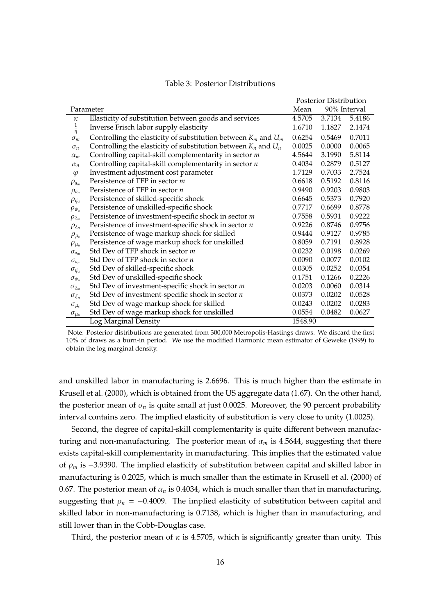<span id="page-15-0"></span>

|                   |                                                                     | <b>Posterior Distribution</b> |        |              |
|-------------------|---------------------------------------------------------------------|-------------------------------|--------|--------------|
|                   | Parameter                                                           | Mean                          |        | 90% Interval |
| κ                 | Elasticity of substitution between goods and services               | 4.5705                        | 3.7134 | 5.4186       |
| $\frac{1}{\eta}$  | Inverse Frisch labor supply elasticity                              | 1.6710                        | 1.1827 | 2.1474       |
| $\sigma_m$        | Controlling the elasticity of substitution between $K_m$ and $U_m$  | 0.6254                        | 0.5469 | 0.7011       |
| $\sigma_n$        | Controlling the elasticity of substitution between $K_n$ and $U_n$  | 0.0025                        | 0.0000 | 0.0065       |
| $\alpha_m$        | Controlling capital-skill complementarity in sector m               | 4.5644                        | 3.1990 | 5.8114       |
| $\alpha_n$        | Controlling capital-skill complementarity in sector $n$             | 0.4034                        | 0.2879 | 0.5127       |
| $\varphi$         | Investment adjustment cost parameter                                | 1.7129                        | 0.7033 | 2.7524       |
| $\rho_{a_m}$      | Persistence of TFP in sector m                                      | 0.6618                        | 0.5192 | 0.8116       |
| $\rho_{a_n}$      | Persistence of TFP in sector $n$                                    | 0.9490                        | 0.9203 | 0.9803       |
| $\rho_{\psi_s}$   | Persistence of skilled-specific shock                               | 0.6645                        | 0.5373 | 0.7920       |
| $\rho_{\psi_u}$   | Persistence of unskilled-specific shock                             | 0.7717                        | 0.6699 | 0.8778       |
| $\rho_{\xi_m}$    | Persistence of investment-specific shock in sector $m$              | 0.7558                        | 0.5931 | 0.9222       |
| $\rho_{\xi_n}$    | Persistence of investment-specific shock in sector $\boldsymbol{n}$ | 0.9226                        | 0.8746 | 0.9756       |
| $\rho_{\mu_s}$    | Persistence of wage markup shock for skilled                        | 0.9444                        | 0.9127 | 0.9785       |
| $\rho_{\mu_u}$    | Persistence of wage markup shock for unskilled                      | 0.8059                        | 0.7191 | 0.8928       |
| $\sigma_{a_m}$    | Std Dev of TFP shock in sector m                                    | 0.0232                        | 0.0198 | 0.0269       |
| $\sigma_{a_n}$    | Std Dev of TFP shock in sector $n$                                  | 0.0090                        | 0.0077 | 0.0102       |
| $\sigma_{\psi_s}$ | Std Dev of skilled-specific shock                                   | 0.0305                        | 0.0252 | 0.0354       |
| $\sigma_{\psi_u}$ | Std Dev of unskilled-specific shock                                 | 0.1751                        | 0.1266 | 0.2226       |
| $\sigma_{\xi_m}$  | Std Dev of investment-specific shock in sector $m$                  | 0.0203                        | 0.0060 | 0.0314       |
| $\sigma_{\xi_n}$  | Std Dev of investment-specific shock in sector $n$                  | 0.0373                        | 0.0202 | 0.0528       |
| $\sigma_{\mu_s}$  | Std Dev of wage markup shock for skilled                            | 0.0243                        | 0.0202 | 0.0283       |
| $\sigma_{\mu_u}$  | Std Dev of wage markup shock for unskilled                          | 0.0554                        | 0.0482 | 0.0627       |
|                   | Log Marginal Density                                                | 1548.90                       |        |              |

#### Table 3: Posterior Distributions

Note: Posterior distributions are generated from 300,000 Metropolis-Hastings draws. We discard the first 10% of draws as a burn-in period. We use the modified Harmonic mean estimator of [Geweke](#page-26-14) [\(1999\)](#page-26-14) to obtain the log marginal density.

and unskilled labor in manufacturing is 2.6696. This is much higher than the estimate in [Krusell et al.](#page-26-0) [\(2000\)](#page-26-0), which is obtained from the US aggregate data (1.67). On the other hand, the posterior mean of  $\sigma_n$  is quite small at just 0.0025. Moreover, the 90 percent probability interval contains zero. The implied elasticity of substitution is very close to unity (1.0025).

Second, the degree of capital-skill complementarity is quite different between manufacturing and non-manufacturing. The posterior mean of  $\alpha_m$  is 4.5644, suggesting that there exists capital-skill complementarity in manufacturing. This implies that the estimated value of ρ*<sup>m</sup>* is −3.9390. The implied elasticity of substitution between capital and skilled labor in manufacturing is 0.2025, which is much smaller than the estimate in [Krusell et al.](#page-26-0) [\(2000\)](#page-26-0) of 0.67. The posterior mean of  $\alpha_n$  is 0.4034, which is much smaller than that in manufacturing, suggesting that  $\rho_n = -0.4009$ . The implied elasticity of substitution between capital and skilled labor in non-manufacturing is 0.7138, which is higher than in manufacturing, and still lower than in the Cobb-Douglas case.

Third, the posterior mean of  $\kappa$  is 4.5705, which is significantly greater than unity. This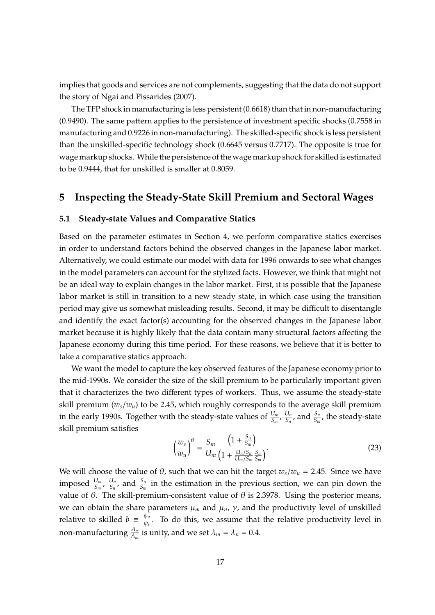implies that goods and services are not complements, suggesting that the data do not support the story of [Ngai and Pissarides](#page-26-9) [\(2007\)](#page-26-9).

The TFP shock in manufacturing is less persistent (0.6618) than that in non-manufacturing (0.9490). The same pattern applies to the persistence of investment specific shocks (0.7558 in manufacturing and 0.9226 in non-manufacturing). The skilled-specific shock is less persistent than the unskilled-specific technology shock (0.6645 versus 0.7717). The opposite is true for wage markup shocks. While the persistence of the wage markup shock for skilled is estimated to be 0.9444, that for unskilled is smaller at 0.8059.

# <span id="page-16-0"></span>**5 Inspecting the Steady-State Skill Premium and Sectoral Wages**

#### **5.1 Steady-state Values and Comparative Statics**

Based on the parameter estimates in Section [4,](#page-11-0) we perform comparative statics exercises in order to understand factors behind the observed changes in the Japanese labor market. Alternatively, we could estimate our model with data for 1996 onwards to see what changes in the model parameters can account for the stylized facts. However, we think that might not be an ideal way to explain changes in the labor market. First, it is possible that the Japanese labor market is still in transition to a new steady state, in which case using the transition period may give us somewhat misleading results. Second, it may be difficult to disentangle and identify the exact factor(s) accounting for the observed changes in the Japanese labor market because it is highly likely that the data contain many structural factors affecting the Japanese economy during this time period. For these reasons, we believe that it is better to take a comparative statics approach.

We want the model to capture the key observed features of the Japanese economy prior to the mid-1990s. We consider the size of the skill premium to be particularly important given that it characterizes the two different types of workers. Thus, we assume the steady-state skill premium (*ws*/*wu*) to be 2.45, which roughly corresponds to the average skill premium in the early 1990s. Together with the steady-state values of  $\frac{U_m}{S_m}$ ,  $\frac{U_n}{S_n}$  $\frac{U_n}{S_n}$ , and  $\frac{S_n}{S_m}$ , the steady-state skill premium satisfies

$$
\left(\frac{w_s}{w_u}\right)^{\theta} = \frac{S_m}{U_m} \frac{\left(1 + \frac{S_n}{S_m}\right)}{\left(1 + \frac{U_n/S_n}{U_m/S_m}\frac{S_n}{S_m}\right)}.
$$
\n(23)

We will choose the value of  $\theta$ , such that we can hit the target  $w_s/w_u = 2.45$ . Since we have imposed  $\frac{U_m}{S_m}$ ,  $\frac{U_n}{S_n}$  $\frac{U_n}{S_n}$ , and  $\frac{S_n}{S_m}$  in the estimation in the previous section, we can pin down the value of  $θ$ . The skill-premium-consistent value of  $θ$  is 2.3978. Using the posterior means, we can obtain the share parameters  $\mu_m$  and  $\mu_n$ ,  $\gamma$ , and the productivity level of unskilled relative to skilled  $b = \frac{\psi_u}{\psi_o}$  $\frac{\psi u}{\psi_s}$ . To do this, we assume that the relative productivity level in non-manufacturing  $\frac{A_n}{A_m}$  is unity, and we set  $\lambda_m = \lambda_n = 0.4$ .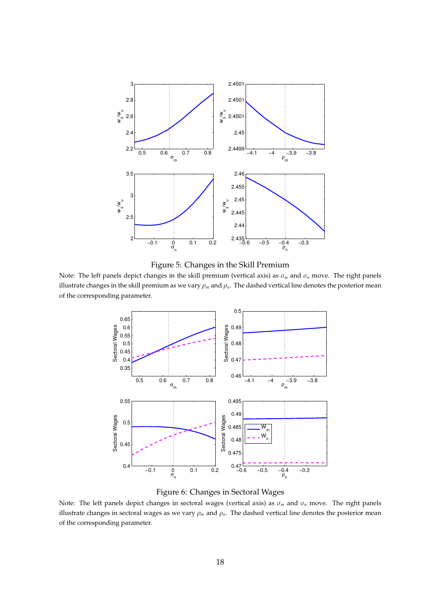<span id="page-17-0"></span>



<span id="page-17-1"></span>Note: The left panels depict changes in the skill premium (vertical axis) as σ*<sup>m</sup>* and σ*<sup>n</sup>* move. The right panels illustrate changes in the skill premium as we vary  $\rho_m$  and  $\rho_n$ . The dashed vertical line denotes the posterior mean of the corresponding parameter.





Note: The left panels depict changes in sectoral wages (vertical axis) as σ*<sup>m</sup>* and σ*<sup>n</sup>* move. The right panels illustrate changes in sectoral wages as we vary  $\rho_m$  and  $\rho_n$ . The dashed vertical line denotes the posterior mean of the corresponding parameter.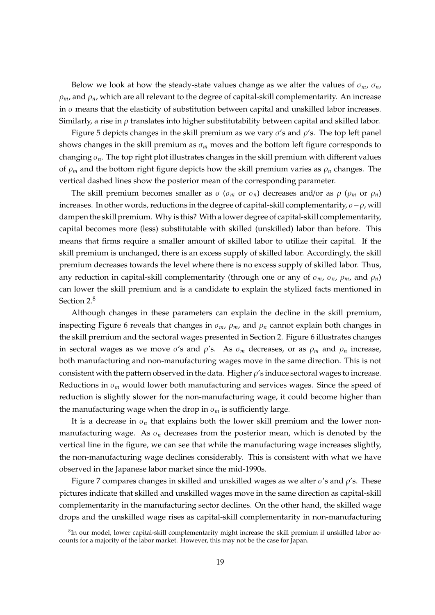Below we look at how the steady-state values change as we alter the values of  $\sigma_m$ ,  $\sigma_n$ ,  $\rho_m$ , and  $\rho_n$ , which are all relevant to the degree of capital-skill complementarity. An increase in  $\sigma$  means that the elasticity of substitution between capital and unskilled labor increases. Similarly, a rise in  $\rho$  translates into higher substitutability between capital and skilled labor.

Figure [5](#page-17-0) depicts changes in the skill premium as we vary  $\sigma$ 's and  $\rho$ 's. The top left panel shows changes in the skill premium as  $\sigma_m$  moves and the bottom left figure corresponds to changing  $\sigma_n$ . The top right plot illustrates changes in the skill premium with different values of  $\rho_m$  and the bottom right figure depicts how the skill premium varies as  $\rho_n$  changes. The vertical dashed lines show the posterior mean of the corresponding parameter.

The skill premium becomes smaller as  $\sigma$  ( $\sigma_m$  or  $\sigma_n$ ) decreases and/or as  $\rho$  ( $\rho_m$  or  $\rho_n$ ) increases. In other words, reductions in the degree of capital-skill complementarity,  $\sigma - \rho$ , will dampen the skill premium. Why is this? With a lower degree of capital-skill complementarity, capital becomes more (less) substitutable with skilled (unskilled) labor than before. This means that firms require a smaller amount of skilled labor to utilize their capital. If the skill premium is unchanged, there is an excess supply of skilled labor. Accordingly, the skill premium decreases towards the level where there is no excess supply of skilled labor. Thus, any reduction in capital-skill complementarity (through one or any of  $\sigma_m$ ,  $\sigma_n$ ,  $\rho_m$ , and  $\rho_n$ ) can lower the skill premium and is a candidate to explain the stylized facts mentioned in Section [2.](#page-4-0)<sup>8</sup>

Although changes in these parameters can explain the decline in the skill premium, inspecting Figure [6](#page-17-1) reveals that changes in  $\sigma_m$ ,  $\rho_m$ , and  $\rho_n$  cannot explain both changes in the skill premium and the sectoral wages presented in Section [2.](#page-4-0) Figure [6](#page-17-1) illustrates changes in sectoral wages as we move  $\sigma$ 's and  $\rho$ 's. As  $\sigma_m$  decreases, or as  $\rho_m$  and  $\rho_n$  increase, both manufacturing and non-manufacturing wages move in the same direction. This is not consistent with the pattern observed in the data. Higher  $\rho$ 's induce sectoral wages to increase. Reductions in  $\sigma_m$  would lower both manufacturing and services wages. Since the speed of reduction is slightly slower for the non-manufacturing wage, it could become higher than the manufacturing wage when the drop in  $\sigma_m$  is sufficiently large.

It is a decrease in  $\sigma_n$  that explains both the lower skill premium and the lower nonmanufacturing wage. As σ*<sup>n</sup>* decreases from the posterior mean, which is denoted by the vertical line in the figure, we can see that while the manufacturing wage increases slightly, the non-manufacturing wage declines considerably. This is consistent with what we have observed in the Japanese labor market since the mid-1990s.

Figure [7](#page-19-0) compares changes in skilled and unskilled wages as we alter  $\sigma$ 's and  $\rho$ 's. These pictures indicate that skilled and unskilled wages move in the same direction as capital-skill complementarity in the manufacturing sector declines. On the other hand, the skilled wage drops and the unskilled wage rises as capital-skill complementarity in non-manufacturing

 ${}^{8}$ In our model, lower capital-skill complementarity might increase the skill premium if unskilled labor accounts for a majority of the labor market. However, this may not be the case for Japan.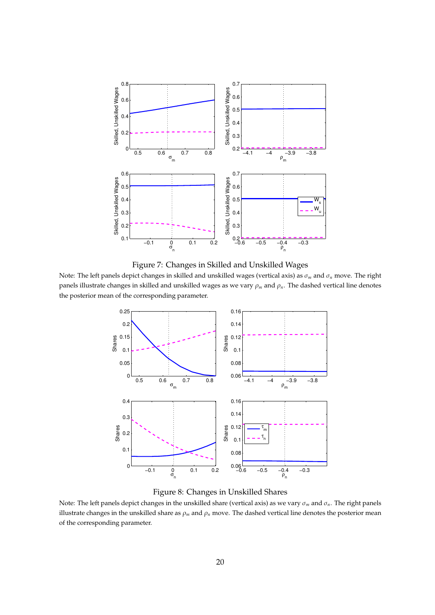<span id="page-19-0"></span>

Figure 7: Changes in Skilled and Unskilled Wages

<span id="page-19-1"></span>Note: The left panels depict changes in skilled and unskilled wages (vertical axis) as σ*<sup>m</sup>* and σ*<sup>n</sup>* move. The right panels illustrate changes in skilled and unskilled wages as we vary ρ*<sup>m</sup>* and ρ*n*. The dashed vertical line denotes the posterior mean of the corresponding parameter.



Figure 8: Changes in Unskilled Shares

Note: The left panels depict changes in the unskilled share (vertical axis) as we vary σ*<sup>m</sup>* and σ*n*. The right panels illustrate changes in the unskilled share as  $\rho_m$  and  $\rho_n$  move. The dashed vertical line denotes the posterior mean of the corresponding parameter.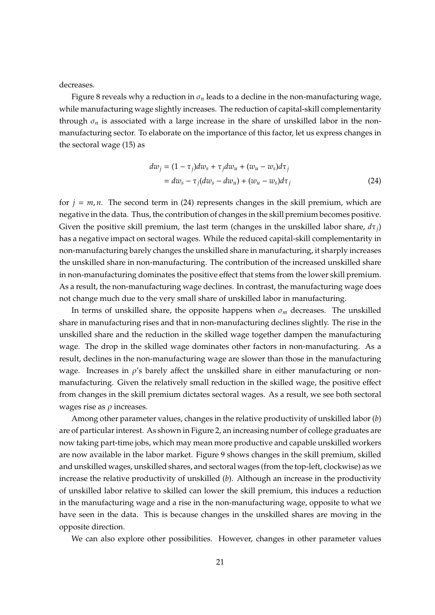decreases.

Figure [8](#page-19-1) reveals why a reduction in  $\sigma_n$  leads to a decline in the non-manufacturing wage, while manufacturing wage slightly increases. The reduction of capital-skill complementarity through  $\sigma_n$  is associated with a large increase in the share of unskilled labor in the nonmanufacturing sector. To elaborate on the importance of this factor, let us express changes in the sectoral wage [\(15\)](#page-11-1) as

<span id="page-20-0"></span>
$$
dw_j = (1 - \tau_j)dw_s + \tau_j dw_u + (w_u - w_s)d\tau_j
$$
  
=  $dw_s - \tau_j(dw_s - dw_u) + (w_u - w_s)d\tau_j$  (24)

for  $j = m, n$ . The second term in [\(24\)](#page-20-0) represents changes in the skill premium, which are negative in the data. Thus, the contribution of changes in the skill premium becomes positive. Given the positive skill premium, the last term (changes in the unskilled labor share, *d*τ*j*) has a negative impact on sectoral wages. While the reduced capital-skill complementarity in non-manufacturing barely changes the unskilled share in manufacturing, it sharply increases the unskilled share in non-manufacturing. The contribution of the increased unskilled share in non-manufacturing dominates the positive effect that stems from the lower skill premium. As a result, the non-manufacturing wage declines. In contrast, the manufacturing wage does not change much due to the very small share of unskilled labor in manufacturing.

In terms of unskilled share, the opposite happens when  $\sigma_m$  decreases. The unskilled share in manufacturing rises and that in non-manufacturing declines slightly. The rise in the unskilled share and the reduction in the skilled wage together dampen the manufacturing wage. The drop in the skilled wage dominates other factors in non-manufacturing. As a result, declines in the non-manufacturing wage are slower than those in the manufacturing wage. Increases in  $\rho$ 's barely affect the unskilled share in either manufacturing or nonmanufacturing. Given the relatively small reduction in the skilled wage, the positive effect from changes in the skill premium dictates sectoral wages. As a result, we see both sectoral wages rise as  $\rho$  increases.

Among other parameter values, changes in the relative productivity of unskilled labor (*b*) are of particular interest. As shown in Figure [2,](#page-6-0) an increasing number of college graduates are now taking part-time jobs, which may mean more productive and capable unskilled workers are now available in the labor market. Figure [9](#page-21-0) shows changes in the skill premium, skilled and unskilled wages, unskilled shares, and sectoral wages (from the top-left, clockwise) as we increase the relative productivity of unskilled (*b*). Although an increase in the productivity of unskilled labor relative to skilled can lower the skill premium, this induces a reduction in the manufacturing wage and a rise in the non-manufacturing wage, opposite to what we have seen in the data. This is because changes in the unskilled shares are moving in the opposite direction.

We can also explore other possibilities. However, changes in other parameter values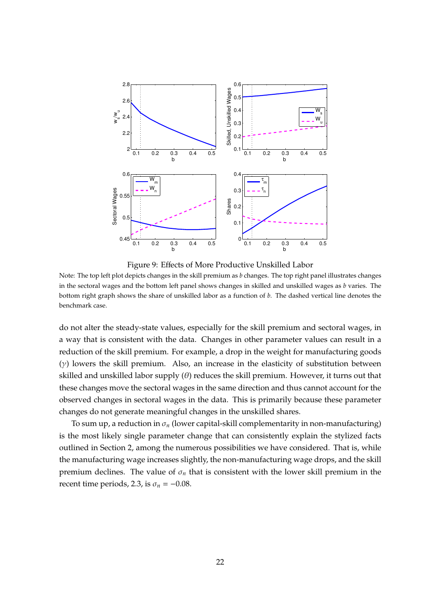<span id="page-21-0"></span>

Figure 9: Effects of More Productive Unskilled Labor

Note: The top left plot depicts changes in the skill premium as *b* changes. The top right panel illustrates changes in the sectoral wages and the bottom left panel shows changes in skilled and unskilled wages as *b* varies. The bottom right graph shows the share of unskilled labor as a function of *b*. The dashed vertical line denotes the benchmark case.

do not alter the steady-state values, especially for the skill premium and sectoral wages, in a way that is consistent with the data. Changes in other parameter values can result in a reduction of the skill premium. For example, a drop in the weight for manufacturing goods  $(y)$  lowers the skill premium. Also, an increase in the elasticity of substitution between skilled and unskilled labor supply  $(\theta)$  reduces the skill premium. However, it turns out that these changes move the sectoral wages in the same direction and thus cannot account for the observed changes in sectoral wages in the data. This is primarily because these parameter changes do not generate meaningful changes in the unskilled shares.

To sum up, a reduction in  $\sigma_n$  (lower capital-skill complementarity in non-manufacturing) is the most likely single parameter change that can consistently explain the stylized facts outlined in Section [2,](#page-4-0) among the numerous possibilities we have considered. That is, while the manufacturing wage increases slightly, the non-manufacturing wage drops, and the skill premium declines. The value of  $\sigma_n$  that is consistent with the lower skill premium in the recent time periods, 2.3, is  $\sigma_n = -0.08$ .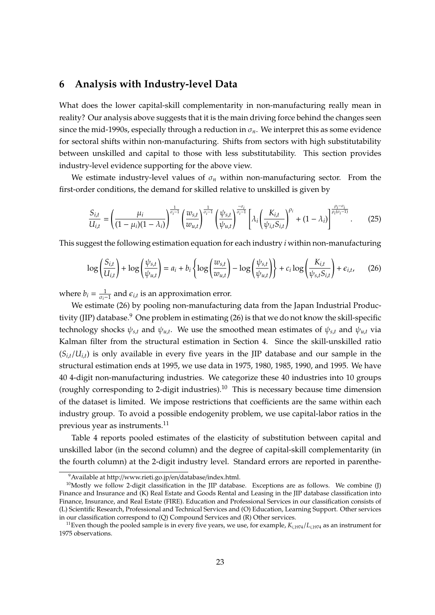## <span id="page-22-0"></span>**6 Analysis with Industry-level Data**

What does the lower capital-skill complementarity in non-manufacturing really mean in reality? Our analysis above suggests that it is the main driving force behind the changes seen since the mid-1990s, especially through a reduction in  $\sigma_n$ . We interpret this as some evidence for sectoral shifts within non-manufacturing. Shifts from sectors with high substitutability between unskilled and capital to those with less substitutability. This section provides industry-level evidence supporting for the above view.

We estimate industry-level values of  $\sigma_n$  within non-manufacturing sector. From the first-order conditions, the demand for skilled relative to unskilled is given by

$$
\frac{S_{i,t}}{U_{i,t}} = \left(\frac{\mu_i}{(1-\mu_i)(1-\lambda_i)}\right)^{\frac{1}{\sigma_i-1}} \left(\frac{w_{s,t}}{w_{u,t}}\right)^{\frac{1}{\sigma_i-1}} \left(\frac{\psi_{s,t}}{\psi_{u,t}}\right)^{\frac{-\sigma_i}{\sigma_i-1}} \left[\lambda_i \left(\frac{K_{i,t}}{\psi_{i,t} S_{i,t}}\right)^{\rho_i} + (1-\lambda_i)\right]^{\frac{\rho_i-\sigma_i}{\rho_i(\sigma_i-1)}}.
$$
(25)

This suggest the following estimation equation for each industry *i* within non-manufacturing

<span id="page-22-1"></span>
$$
\log\left(\frac{S_{i,t}}{U_{i,t}}\right) + \log\left(\frac{\psi_{s,t}}{\psi_{u,t}}\right) = a_i + b_i \left\{ \log\left(\frac{w_{s,t}}{w_{u,t}}\right) - \log\left(\frac{\psi_{s,t}}{\psi_{u,t}}\right) \right\} + c_i \log\left(\frac{K_{i,t}}{\psi_{s,t} S_{i,t}}\right) + \epsilon_{i,t},\tag{26}
$$

where  $b_i = \frac{1}{\sigma_i - 1}$  and  $\epsilon_{i,t}$  is an approximation error.

We estimate [\(26\)](#page-22-1) by pooling non-manufacturing data from the Japan Industrial Produc-tivity (JIP) database.<sup>9</sup> One problem in estimating [\(26\)](#page-22-1) is that we do not know the skill-specific technology shocks  $\psi_{s,t}$  and  $\psi_{u,t}$ . We use the smoothed mean estimates of  $\psi_{s,t}$  and  $\psi_{u,t}$  via Kalman filter from the structural estimation in Section [4.](#page-11-0) Since the skill-unskilled ratio  $(S_{i,t}/U_{i,t})$  is only available in every five years in the JIP database and our sample in the structural estimation ends at 1995, we use data in 1975, 1980, 1985, 1990, and 1995. We have 40 4-digit non-manufacturing industries. We categorize these 40 industries into 10 groups (roughly corresponding to 2-digit industries).<sup>10</sup> This is necessary because time dimension of the dataset is limited. We impose restrictions that coefficients are the same within each industry group. To avoid a possible endogenity problem, we use capital-labor ratios in the previous year as instruments.<sup>11</sup>

Table [4](#page-23-0) reports pooled estimates of the elasticity of substitution between capital and unskilled labor (in the second column) and the degree of capital-skill complementarity (in the fourth column) at the 2-digit industry level. Standard errors are reported in parenthe-

<sup>9</sup>Available at http://[www.rieti.go.jp](http://www.rieti.go.jp/en/database/index.html)/en/database/index.html.

 $10$ Mostly we follow 2-digit classification in the JIP database. Exceptions are as follows. We combine (J) Finance and Insurance and (K) Real Estate and Goods Rental and Leasing in the JIP database classification into Finance, Insurance, and Real Estate (FIRE). Education and Professional Services in our classification consists of (L) Scientific Research, Professional and Technical Services and (O) Education, Learning Support. Other services in our classification correspond to (Q) Compound Services and (R) Other services.

<sup>&</sup>lt;sup>11</sup>Even though the pooled sample is in every five years, we use, for example,  $K_{i,1974}/L_{i,1974}$  as an instrument for 1975 observations.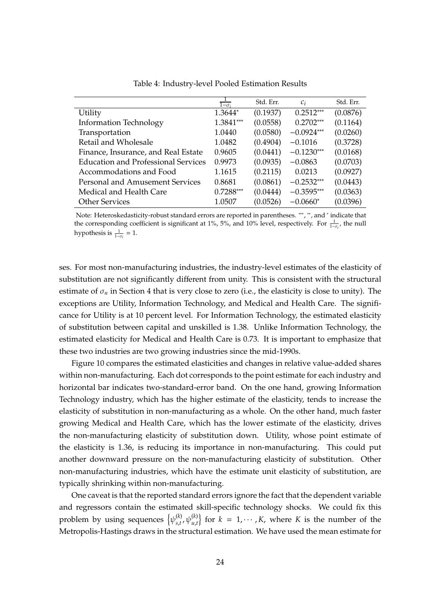<span id="page-23-0"></span>

|                                            | $1-\sigma_i$ | Std. Err. | $C_i$        | Std. Err. |
|--------------------------------------------|--------------|-----------|--------------|-----------|
| Utility                                    | 1.3644*      | (0.1937)  | $0.2512***$  | (0.0876)  |
| <b>Information Technology</b>              | 1.3841***    | (0.0558)  | $0.2702***$  | (0.1164)  |
| Transportation                             | 1.0440       | (0.0580)  | $-0.0924***$ | (0.0260)  |
| Retail and Wholesale                       | 1.0482       | (0.4904)  | $-0.1016$    | (0.3728)  |
| Finance, Insurance, and Real Estate        | 0.9605       | (0.0441)  | $-0.1230***$ | (0.0168)  |
| <b>Education and Professional Services</b> | 0.9973       | (0.0935)  | $-0.0863$    | (0.0703)  |
| Accommodations and Food                    | 1.1615       | (0.2115)  | 0.0213       | (0.0927)  |
| Personal and Amusement Services            | 0.8681       | (0.0861)  | $-0.2532***$ | (0.0443)  |
| Medical and Health Care                    | $0.7288***$  | (0.0444)  | $-0.3595***$ | (0.0363)  |
| <b>Other Services</b>                      | 1.0507       | (0.0526)  | $-0.0660*$   | (0.0396)  |

Table 4: Industry-level Pooled Estimation Results

Note: Heteroskedasticity-robust standard errors are reported in parentheses. \*\*\*, \*\*, and \* indicate that the corresponding coefficient is significant at 1%, 5%, and 10% level, respectively. For  $\frac{1}{1-\sigma_i}$ , the null hypothesis is  $\frac{1}{1-\sigma_i} = 1$ .

ses. For most non-manufacturing industries, the industry-level estimates of the elasticity of substitution are not significantly different from unity. This is consistent with the structural estimate of  $\sigma_n$  in Section [4](#page-11-0) that is very close to zero (i.e., the elasticity is close to unity). The exceptions are Utility, Information Technology, and Medical and Health Care. The significance for Utility is at 10 percent level. For Information Technology, the estimated elasticity of substitution between capital and unskilled is 1.38. Unlike Information Technology, the estimated elasticity for Medical and Health Care is 0.73. It is important to emphasize that these two industries are two growing industries since the mid-1990s.

Figure [10](#page-24-0) compares the estimated elasticities and changes in relative value-added shares within non-manufacturing. Each dot corresponds to the point estimate for each industry and horizontal bar indicates two-standard-error band. On the one hand, growing Information Technology industry, which has the higher estimate of the elasticity, tends to increase the elasticity of substitution in non-manufacturing as a whole. On the other hand, much faster growing Medical and Health Care, which has the lower estimate of the elasticity, drives the non-manufacturing elasticity of substitution down. Utility, whose point estimate of the elasticity is 1.36, is reducing its importance in non-manufacturing. This could put another downward pressure on the non-manufacturing elasticity of substitution. Other non-manufacturing industries, which have the estimate unit elasticity of substitution, are typically shrinking within non-manufacturing.

One caveat is that the reported standard errors ignore the fact that the dependent variable and regressors contain the estimated skill-specific technology shocks. We could fix this problem by using sequences  $\{\psi_{s,t}^{(k)}\}$  $\{f_{s,t}^{(k)}, \psi_{u,t}^{(k)}\}$  for  $k = 1, \cdots, K$ , where *K* is the number of the Metropolis-Hastings draws in the structural estimation. We have used the mean estimate for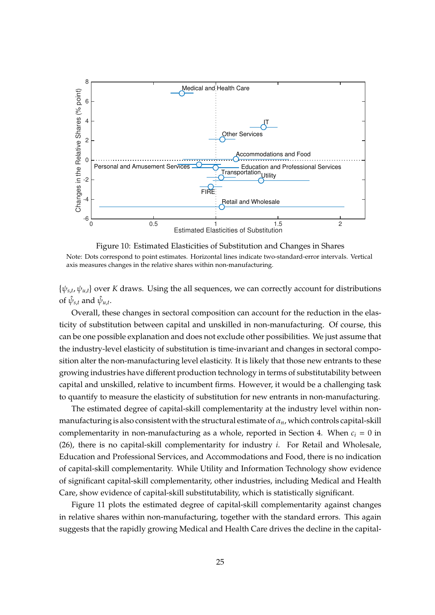<span id="page-24-0"></span>

Figure 10: Estimated Elasticities of Substitution and Changes in Shares Note: Dots correspond to point estimates. Horizontal lines indicate two-standard-error intervals. Vertical axis measures changes in the relative shares within non-manufacturing.

 $\{\psi_{s,t}, \psi_{u,t}\}$  over *K* draws. Using the all sequences, we can correctly account for distributions of  $\hat{\psi}_{s,t}$  and  $\hat{\psi}_{u,t}$ .

Overall, these changes in sectoral composition can account for the reduction in the elasticity of substitution between capital and unskilled in non-manufacturing. Of course, this can be one possible explanation and does not exclude other possibilities. We just assume that the industry-level elasticity of substitution is time-invariant and changes in sectoral composition alter the non-manufacturing level elasticity. It is likely that those new entrants to these growing industries have different production technology in terms of substitutability between capital and unskilled, relative to incumbent firms. However, it would be a challenging task to quantify to measure the elasticity of substitution for new entrants in non-manufacturing.

The estimated degree of capital-skill complementarity at the industry level within nonmanufacturing is also consistent with the structural estimate of  $\alpha_n$ , which controls capital-skill complementarity in non-manufacturing as a whole, reported in Section [4.](#page-11-0) When  $c_i = 0$  in [\(26\)](#page-22-1), there is no capital-skill complementarity for industry *i*. For Retail and Wholesale, Education and Professional Services, and Accommodations and Food, there is no indication of capital-skill complementarity. While Utility and Information Technology show evidence of significant capital-skill complementarity, other industries, including Medical and Health Care, show evidence of capital-skill substitutability, which is statistically significant.

Figure [11](#page-25-1) plots the estimated degree of capital-skill complementarity against changes in relative shares within non-manufacturing, together with the standard errors. This again suggests that the rapidly growing Medical and Health Care drives the decline in the capital-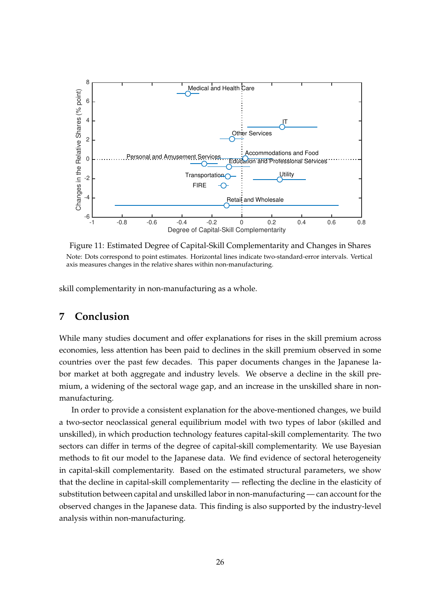<span id="page-25-1"></span>

Figure 11: Estimated Degree of Capital-Skill Complementarity and Changes in Shares Note: Dots correspond to point estimates. Horizontal lines indicate two-standard-error intervals. Vertical axis measures changes in the relative shares within non-manufacturing.

skill complementarity in non-manufacturing as a whole.

# <span id="page-25-0"></span>**7 Conclusion**

While many studies document and offer explanations for rises in the skill premium across economies, less attention has been paid to declines in the skill premium observed in some countries over the past few decades. This paper documents changes in the Japanese labor market at both aggregate and industry levels. We observe a decline in the skill premium, a widening of the sectoral wage gap, and an increase in the unskilled share in nonmanufacturing.

In order to provide a consistent explanation for the above-mentioned changes, we build a two-sector neoclassical general equilibrium model with two types of labor (skilled and unskilled), in which production technology features capital-skill complementarity. The two sectors can differ in terms of the degree of capital-skill complementarity. We use Bayesian methods to fit our model to the Japanese data. We find evidence of sectoral heterogeneity in capital-skill complementarity. Based on the estimated structural parameters, we show that the decline in capital-skill complementarity — reflecting the decline in the elasticity of substitution between capital and unskilled labor in non-manufacturing — can account for the observed changes in the Japanese data. This finding is also supported by the industry-level analysis within non-manufacturing.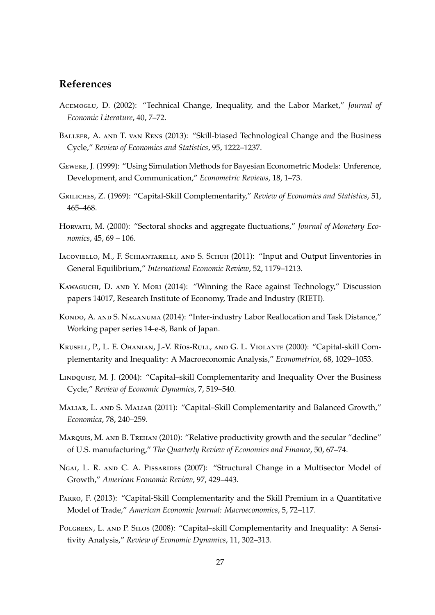# **References**

- <span id="page-26-2"></span>Acemoglu, D. (2002): "Technical Change, Inequality, and the Labor Market," *Journal of Economic Literature*, 40, 7–72.
- <span id="page-26-7"></span>BALLEER, A. AND T. VAN RENS (2013): "Skill-biased Technological Change and the Business Cycle," *Review of Economics and Statistics*, 95, 1222–1237.
- <span id="page-26-14"></span>Geweke, J. (1999): "Using Simulation Methods for Bayesian Econometric Models: Unference, Development, and Communication," *Econometric Reviews*, 18, 1–73.
- <span id="page-26-3"></span>Griliches, Z. (1969): "Capital-Skill Complementarity," *Review of Economics and Statistics*, 51, 465–468.
- <span id="page-26-11"></span>Horvath, M. (2000): "Sectoral shocks and aggregate fluctuations," *Journal of Monetary Economics*, 45, 69 – 106.
- <span id="page-26-13"></span>Iacoviello, M., F. Schiantarelli, and S. Schuh (2011): "Input and Output Iinventories in General Equilibrium," *International Economic Review*, 52, 1179–1213.
- <span id="page-26-1"></span>Kawaguchi, D. and Y. Mori (2014): "Winning the Race against Technology," Discussion papers 14017, Research Institute of Economy, Trade and Industry (RIETI).
- <span id="page-26-12"></span>KONDO, A. AND S. NAGANUMA (2014): "Inter-industry Labor Reallocation and Task Distance," Working paper series 14-e-8, Bank of Japan.
- <span id="page-26-0"></span>KRUSELL, P., L. E. OHANIAN, J.-V. Ríos-RULL, AND G. L. VIOLANTE (2000): "Capital-skill Complementarity and Inequality: A Macroeconomic Analysis," *Econometrica*, 68, 1029–1053.
- <span id="page-26-6"></span>LINDQUIST, M. J. (2004): "Capital–skill Complementarity and Inequality Over the Business Cycle," *Review of Economic Dynamics*, 7, 519–540.
- <span id="page-26-4"></span>Maliar, L. and S. Maliar (2011): "Capital–Skill Complementarity and Balanced Growth," *Economica*, 78, 240–259.
- <span id="page-26-10"></span>MARQUIS, M. AND B. TREHAN (2010): "Relative productivity growth and the secular "decline" of U.S. manufacturing," *The Quarterly Review of Economics and Finance*, 50, 67–74.
- <span id="page-26-9"></span>NGAI, L. R. AND C. A. PISSARIDES (2007): "Structural Change in a Multisector Model of Growth," *American Economic Review*, 97, 429–443.
- <span id="page-26-8"></span>Parro, F. (2013): "Capital-Skill Complementarity and the Skill Premium in a Quantitative Model of Trade," *American Economic Journal: Macroeconomics*, 5, 72–117.
- <span id="page-26-5"></span>Polgreen, L. and P. Silos (2008): "Capital–skill Complementarity and Inequality: A Sensitivity Analysis," *Review of Economic Dynamics*, 11, 302–313.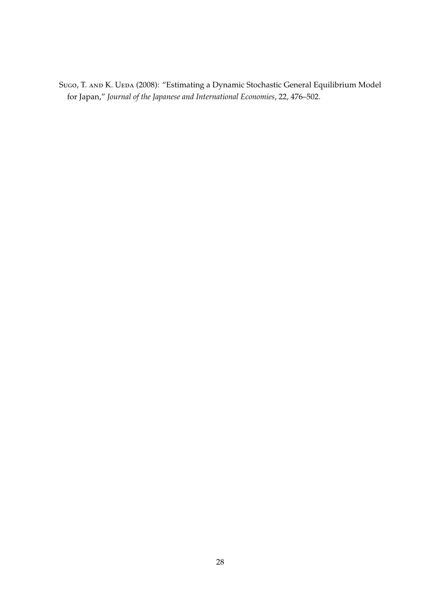<span id="page-27-0"></span>Sugo, T. AND K. UEDA (2008): "Estimating a Dynamic Stochastic General Equilibrium Model for Japan," *Journal of the Japanese and International Economies*, 22, 476–502.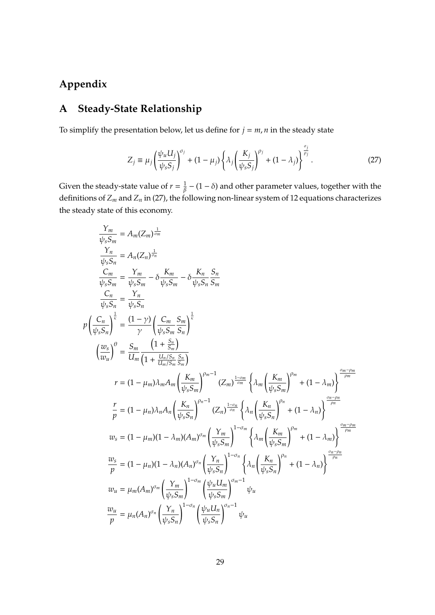# **Appendix**

*p*

# **A Steady-State Relationship**

To simplify the presentation below, let us define for  $j = m, n$  in the steady state

<span id="page-28-0"></span>
$$
Z_j \equiv \mu_j \left( \frac{\psi_u U_j}{\psi_s S_j} \right)^{\sigma_j} + (1 - \mu_j) \left\{ \lambda_j \left( \frac{K_j}{\psi_s S_j} \right)^{\rho_j} + (1 - \lambda_j) \right\}^{\frac{\sigma_j}{\rho_j}}.
$$
 (27)

Given the steady-state value of  $r = \frac{1}{\beta} - (1 - \delta)$  and other parameter values, together with the definitions of *Z<sup>m</sup>* and *Z<sup>n</sup>* in [\(27\)](#page-28-0), the following non-linear system of 12 equations characterizes the steady state of this economy.

$$
\frac{Y_{m}}{\psi_{s}S_{m}} = A_{m}(Z_{m})^{\frac{1}{\phi_{m}}}
$$
\n
$$
\frac{Y_{n}}{\psi_{s}S_{m}} = A_{n}(Z_{n})^{\frac{1}{\phi_{n}}}
$$
\n
$$
\frac{C_{m}}{\psi_{s}S_{m}} = \frac{Y_{m}}{\psi_{s}S_{m}} - \delta \frac{K_{m}}{\psi_{s}S_{m}} \frac{S_{n}}{S_{m}}
$$
\n
$$
\frac{C_{n}}{\psi_{s}S_{n}} = \frac{Y_{n}}{\psi_{s}S_{n}}
$$
\n
$$
\left(\frac{C_{n}}{\psi_{s}S_{n}}\right)^{\frac{1}{\kappa}} = \frac{(1-\gamma)}{\gamma} \left(\frac{C_{m}}{\psi_{s}S_{m}} \frac{S_{m}}{S_{m}}\right)^{\frac{1}{\kappa}}
$$
\n
$$
\left(\frac{w_{s}}{w_{u}}\right)^{\theta} = \frac{S_{m}}{U_{m}} \frac{\left(1 + \frac{S_{m}}{S_{m}}\right)}{\left(1 + \frac{U_{n}/S_{m}}{U_{n}/S_{m}} \frac{S_{m}}{S_{m}}\right)}
$$
\n
$$
r = (1 - \mu_{m})\lambda_{m}A_{m} \left(\frac{K_{m}}{\psi_{s}S_{m}}\right)^{\rho_{m}-1} (Z_{m})^{\frac{1-\sigma_{m}}{\sigma_{m}}} \left\{\lambda_{m} \left(\frac{K_{m}}{\psi_{s}S_{m}}\right)^{\rho_{m}} + (1 - \lambda_{m}\right\}^{\frac{\sigma_{n}-\rho_{m}}{\rho_{m}}}
$$
\n
$$
\frac{r}{p} = (1 - \mu_{n})\lambda_{n}A_{n} \left(\frac{K_{n}}{\psi_{s}S_{n}}\right)^{\rho_{n}-1} (Z_{n})^{\frac{1-\sigma_{m}}{\sigma_{m}}} \left\{\lambda_{n} \left(\frac{K_{m}}{\psi_{s}S_{m}}\right)^{\rho_{n}} + (1 - \lambda_{n}\right\}^{\frac{\sigma_{n}-\rho_{n}}{\rho_{m}}}
$$
\n
$$
w_{s} = (1 - \mu_{m})(1 - \lambda_{m})(A_{m})^{\sigma_{m}} \left(\frac{Y_{m}}{\psi_{s}S_{m}}\right)^{1-\sigma_{m}} \left\{\lambda_{m} \left(\frac{K_{m}}
$$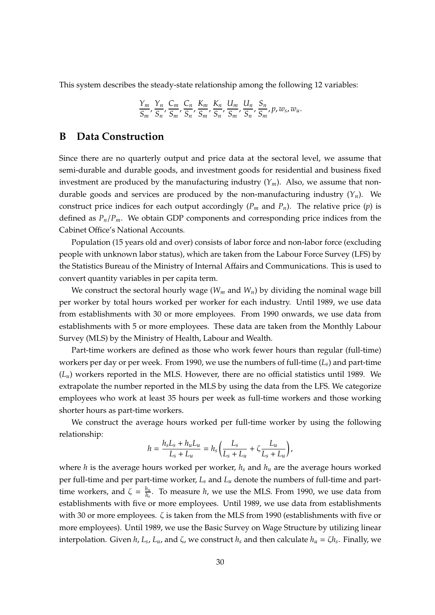This system describes the steady-state relationship among the following 12 variables:

$$
\frac{Y_m}{S_m}, \frac{Y_n}{S_n}, \frac{C_m}{S_m}, \frac{C_n}{S_n}, \frac{K_m}{S_m}, \frac{K_n}{S_n}, \frac{U_m}{S_m}, \frac{U_n}{S_n}, \frac{S_n}{S_m}, p, w_s, w_u.
$$

### **B Data Construction**

Since there are no quarterly output and price data at the sectoral level, we assume that semi-durable and durable goods, and investment goods for residential and business fixed investment are produced by the manufacturing industry  $(Y_m)$ . Also, we assume that nondurable goods and services are produced by the non-manufacturing industry  $(Y_n)$ . We construct price indices for each output accordingly  $(P_m$  and  $P_n$ ). The relative price  $(p)$  is defined as *Pn*/*Pm*. We obtain GDP components and corresponding price indices from the Cabinet Office's National Accounts.

Population (15 years old and over) consists of labor force and non-labor force (excluding people with unknown labor status), which are taken from the Labour Force Survey (LFS) by the Statistics Bureau of the Ministry of Internal Affairs and Communications. This is used to convert quantity variables in per capita term.

We construct the sectoral hourly wage ( $W_m$  and  $W_n$ ) by dividing the nominal wage bill per worker by total hours worked per worker for each industry. Until 1989, we use data from establishments with 30 or more employees. From 1990 onwards, we use data from establishments with 5 or more employees. These data are taken from the Monthly Labour Survey (MLS) by the Ministry of Health, Labour and Wealth.

Part-time workers are defined as those who work fewer hours than regular (full-time) workers per day or per week. From 1990, we use the numbers of full-time (*Ls*) and part-time  $(L<sub>u</sub>)$  workers reported in the MLS. However, there are no official statistics until 1989. We extrapolate the number reported in the MLS by using the data from the LFS. We categorize employees who work at least 35 hours per week as full-time workers and those working shorter hours as part-time workers.

We construct the average hours worked per full-time worker by using the following relationship:

$$
h = \frac{h_s L_s + h_u L_u}{L_s + L_u} = h_s \left( \frac{L_s}{L_s + L_u} + \zeta \frac{L_u}{L_s + L_u} \right),
$$

where *h* is the average hours worked per worker, *h<sup>s</sup>* and *h<sup>u</sup>* are the average hours worked per full-time and per part-time worker, *L<sup>s</sup>* and *L<sup>u</sup>* denote the numbers of full-time and parttime workers, and  $\zeta = \frac{h_u}{h_u}$ *hs* . To measure *h*, we use the MLS. From 1990, we use data from establishments with five or more employees. Until 1989, we use data from establishments with 30 or more employees. ζ is taken from the MLS from 1990 (establishments with five or more employees). Until 1989, we use the Basic Survey on Wage Structure by utilizing linear interpolation. Given *h*, *L<sup>s</sup>* , *Lu*, and ζ, we construct *h<sup>s</sup>* and then calculate *h<sup>u</sup>* = ζ*h<sup>s</sup>* . Finally, we